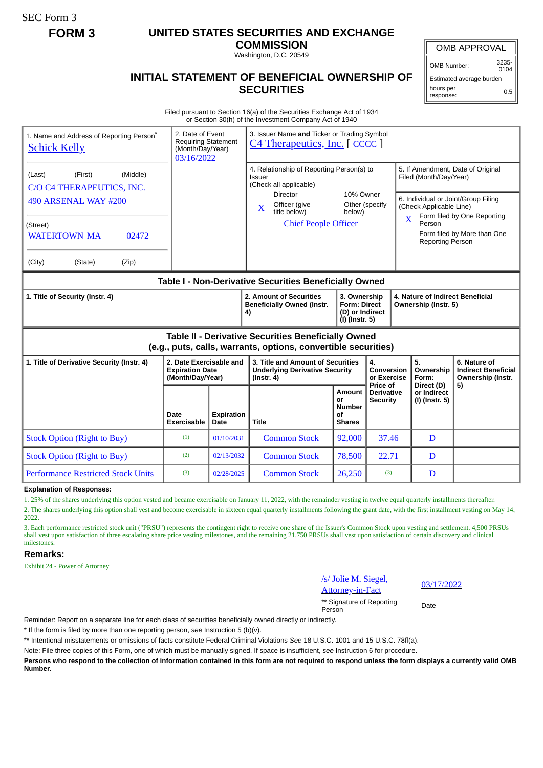SEC Form 3

## **FORM 3 UNITED STATES SECURITIES AND EXCHANGE**

**COMMISSION** Washington, D.C. 20549

OMB APPROVAL

OMB Number: 3235- 0104

0.5

Estimated average burden hours per

response:

## **INITIAL STATEMENT OF BENEFICIAL OWNERSHIP OF SECURITIES**

Filed pursuant to Section 16(a) of the Securities Exchange Act of 1934 or Section 30(h) of the Investment Company Act of 1940

| 1. Name and Address of Reporting Person <sup>®</sup><br><b>Schick Kelly</b>                                           | 2. Date of Event<br><b>Requiring Statement</b><br>(Month/Day/Year)<br>03/16/2022 |                           | 3. Issuer Name and Ticker or Trading Symbol<br>C4 Therapeutics, Inc. [CCCC]                    |                                                                          |                                                  |                                                                                               |                                                                 |  |
|-----------------------------------------------------------------------------------------------------------------------|----------------------------------------------------------------------------------|---------------------------|------------------------------------------------------------------------------------------------|--------------------------------------------------------------------------|--------------------------------------------------|-----------------------------------------------------------------------------------------------|-----------------------------------------------------------------|--|
| (First)<br>(Middle)<br>(Last)<br>C/O C4 THERAPEUTICS, INC.                                                            |                                                                                  |                           | 4. Relationship of Reporting Person(s) to<br>Issuer<br>(Check all applicable)                  | 10% Owner<br>Other (specify<br>below)                                    |                                                  | 5. If Amendment, Date of Original<br>Filed (Month/Day/Year)                                   |                                                                 |  |
| 490 ARSENAL WAY #200                                                                                                  |                                                                                  |                           | <b>Director</b><br>Officer (give<br>$\mathbf{X}$<br>title below)                               |                                                                          |                                                  | 6. Individual or Joint/Group Filing<br>(Check Applicable Line)<br>Form filed by One Reporting |                                                                 |  |
| (Street)<br><b>WATERTOWN MA</b><br>02472                                                                              |                                                                                  |                           | <b>Chief People Officer</b>                                                                    |                                                                          |                                                  | $\overline{\mathbf{X}}$<br>Person<br>Form filed by More than One<br><b>Reporting Person</b>   |                                                                 |  |
| (City)<br>(State)<br>(Zip)                                                                                            |                                                                                  |                           |                                                                                                |                                                                          |                                                  |                                                                                               |                                                                 |  |
| Table I - Non-Derivative Securities Beneficially Owned                                                                |                                                                                  |                           |                                                                                                |                                                                          |                                                  |                                                                                               |                                                                 |  |
| 1. Title of Security (Instr. 4)                                                                                       |                                                                                  |                           | 2. Amount of Securities<br><b>Beneficially Owned (Instr.</b><br>4)                             | 3. Ownership<br><b>Form: Direct</b><br>(D) or Indirect<br>(I) (Instr. 5) |                                                  | 4. Nature of Indirect Beneficial<br>Ownership (Instr. 5)                                      |                                                                 |  |
| Table II - Derivative Securities Beneficially Owned<br>(e.g., puts, calls, warrants, options, convertible securities) |                                                                                  |                           |                                                                                                |                                                                          |                                                  |                                                                                               |                                                                 |  |
| 1. Title of Derivative Security (Instr. 4)                                                                            | 2. Date Exercisable and<br><b>Expiration Date</b><br>(Month/Day/Year)            |                           | 3. Title and Amount of Securities<br><b>Underlying Derivative Security</b><br>$($ lnstr. 4 $)$ |                                                                          | 4.<br><b>Conversion</b><br>or Exercise           | 5.<br>Ownership<br>Form:                                                                      | 6. Nature of<br><b>Indirect Beneficial</b><br>Ownership (Instr. |  |
|                                                                                                                       | Date<br>Exercisable                                                              | <b>Expiration</b><br>Date | Title                                                                                          | Amount<br>or<br><b>Number</b><br>Οf<br><b>Shares</b>                     | Price of<br><b>Derivative</b><br><b>Security</b> | Direct (D)<br>or Indirect<br>(I) (Instr. 5)                                                   | 5)                                                              |  |
| <b>Stock Option (Right to Buy)</b>                                                                                    | (1)                                                                              | 01/10/2031                | <b>Common Stock</b>                                                                            | 92,000                                                                   | 37.46                                            | D                                                                                             |                                                                 |  |
| <b>Stock Option (Right to Buy)</b>                                                                                    | (2)                                                                              | 02/13/2032                | <b>Common Stock</b>                                                                            | 78,500                                                                   | 22.71                                            | D                                                                                             |                                                                 |  |
| <b>Performance Restricted Stock Units</b>                                                                             | (3)                                                                              | 02/28/2025                | <b>Common Stock</b>                                                                            | 26,250                                                                   | (3)                                              | D                                                                                             |                                                                 |  |

**Explanation of Responses:**

1. 25% of the shares underlying this option vested and became exercisable on January 11, 2022, with the remainder vesting in twelve equal quarterly installments thereafter.

2. The shares underlying this option shall vest and become exercisable in sixteen equal quarterly installments following the grant date, with the first installment vesting on May 14, 2022.

3. Each performance restricted stock unit ("PRSU") represents the contingent right to receive one share of the Issuer's Common Stock upon vesting and settlement. 4,500 PRSUs shall vest upon satisfaction of three escalating share price vesting milestones, and the remaining 21,750 PRSUs shall vest upon satisfaction of certain discovery and clinical milestones.

## **Remarks:**

Exhibit 24 - Power of Attorney

/s/ Jolie M. Siegel, Attorney-in-Fact 03/17/2022

\*\* Signature of Reporting Person Date

Reminder: Report on a separate line for each class of securities beneficially owned directly or indirectly.

\* If the form is filed by more than one reporting person, *see* Instruction 5 (b)(v).

\*\* Intentional misstatements or omissions of facts constitute Federal Criminal Violations *See* 18 U.S.C. 1001 and 15 U.S.C. 78ff(a).

Note: File three copies of this Form, one of which must be manually signed. If space is insufficient, *see* Instruction 6 for procedure.

**Persons who respond to the collection of information contained in this form are not required to respond unless the form displays a currently valid OMB Number.**